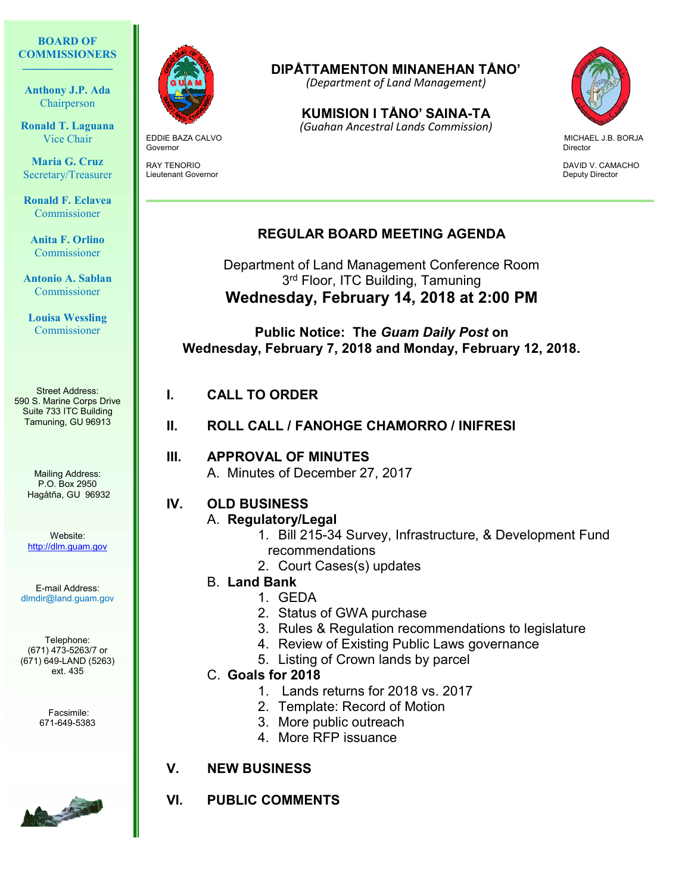#### BOARD OF **COMMISSIONERS**  $\mathcal{L}_\text{max}$  and  $\mathcal{L}_\text{max}$  and  $\mathcal{L}_\text{max}$

Anthony J.P. Ada Chairperson

Ronald T. Laguana Vice Chair

Maria G. Cruz Secretary/Treasurer

Ronald F. Eclavea Commissioner

Anita F. Orlino Commissioner

Antonio A. Sablan Commissioner

Louisa Wessling Commissioner

Street Address: 590 S. Marine Corps Drive Suite 733 ITC Building Tamuning, GU 96913

> Mailing Address: P.O. Box 2950 Hagåtña, GU 96932

Website: http://dlm.guam.gov

E-mail Address: dlmdir@land.guam.gov

Telephone: (671) 473-5263/7 or (671) 649-LAND (5263) ext. 435

> Facsimile: 671-649-5383





**Governor** Director

Lieutenant Governor Deputy Director

# DIPÅTTAMENTON MINANEHAN TÅNO'

(Department of Land Management)

KUMISION I TÅNO' SAINA-TA

EDDIE BAZA CALVO MICHAEL J.B. BORJA (Guahan Ancestral Lands Commission)



RAY TENORIO DAVID VAN SUNT EN ENGLISCHE STAND DAVID VAN DAVID VAN CAMACHO

### REGULAR BOARD MEETING AGENDA

Department of Land Management Conference Room 3<sup>rd</sup> Floor, ITC Building, Tamuning Wednesday, February 14, 2018 at 2:00 PM

Public Notice: The Guam Daily Post on Wednesday, February 7, 2018 and Monday, February 12, 2018.

#### I. CALL TO ORDER

II. ROLL CALL / FANOHGE CHAMORRO / INIFRESI

III. APPROVAL OF MINUTES A. Minutes of December 27, 2017

## IV. OLD BUSINESS

A. Regulatory/Legal

- 1. Bill 215-34 Survey, Infrastructure, & Development Fund recommendations
- 2. Court Cases(s) updates

#### B. Land Bank

- 1. GEDA
- 2. Status of GWA purchase
- 3. Rules & Regulation recommendations to legislature
- 4. Review of Existing Public Laws governance
- 5. Listing of Crown lands by parcel
- C. Goals for 2018
	- 1. Lands returns for 2018 vs. 2017
	- 2. Template: Record of Motion
	- 3. More public outreach
	- 4. More RFP issuance
- V. NEW BUSINESS

#### VI. PUBLIC COMMENTS